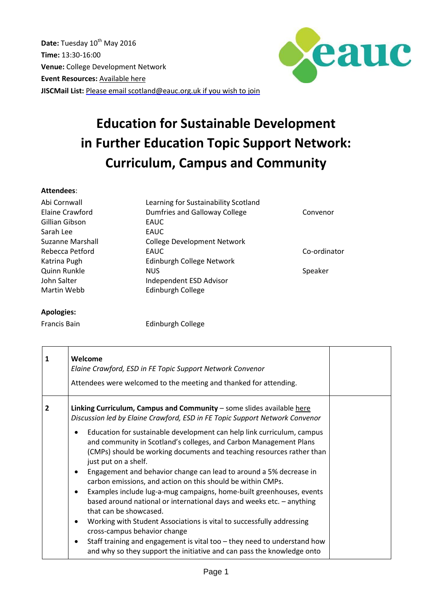Date: Tuesday 10<sup>th</sup> May 2016 **Time:** 13:30-16:00 **Venue:** College Development Network **Event Resources:** [Available](http://www.sustainabilityexchange.ac.uk/linking_curriculum_campus_and_community_esd_in_) here **JISCMail List:** Please email [scotland@eauc.org.uk](mailto:scotland@eauc.org.uk) if you wish to join



## **Education for Sustainable Development in Further Education Topic Support Network: Curriculum, Campus and Community**

## **Attendees**:

| Abi Cornwall     | Learning for Sustainability Scotland |              |
|------------------|--------------------------------------|--------------|
| Elaine Crawford  | Dumfries and Galloway College        | Convenor     |
| Gillian Gibson   | EAUC                                 |              |
| Sarah Lee        | EAUC                                 |              |
| Suzanne Marshall | <b>College Development Network</b>   |              |
| Rebecca Petford  | EAUC                                 | Co-ordinator |
| Katrina Pugh     | Edinburgh College Network            |              |
| Quinn Runkle     | <b>NUS</b>                           | Speaker      |
| John Salter      | Independent ESD Advisor              |              |
| Martin Webb      | Edinburgh College                    |              |

## **Apologies:**

Francis Bain **Edinburgh College** 

| $\mathbf{1}$ | Welcome<br>Elaine Crawford, ESD in FE Topic Support Network Convenor<br>Attendees were welcomed to the meeting and thanked for attending.                                                                                                                                                                                                                                                                                                                                                                                                                                                                                                                                                                                                                                                                                                                                                                                                                                                                                                            |  |
|--------------|------------------------------------------------------------------------------------------------------------------------------------------------------------------------------------------------------------------------------------------------------------------------------------------------------------------------------------------------------------------------------------------------------------------------------------------------------------------------------------------------------------------------------------------------------------------------------------------------------------------------------------------------------------------------------------------------------------------------------------------------------------------------------------------------------------------------------------------------------------------------------------------------------------------------------------------------------------------------------------------------------------------------------------------------------|--|
| 2            | Linking Curriculum, Campus and Community - some slides available here<br>Discussion led by Elaine Crawford, ESD in FE Topic Support Network Convenor<br>Education for sustainable development can help link curriculum, campus<br>$\bullet$<br>and community in Scotland's colleges, and Carbon Management Plans<br>(CMPs) should be working documents and teaching resources rather than<br>just put on a shelf.<br>Engagement and behavior change can lead to around a 5% decrease in<br>$\bullet$<br>carbon emissions, and action on this should be within CMPs.<br>Examples include lug-a-mug campaigns, home-built greenhouses, events<br>$\bullet$<br>based around national or international days and weeks etc. - anything<br>that can be showcased.<br>Working with Student Associations is vital to successfully addressing<br>$\bullet$<br>cross-campus behavior change<br>Staff training and engagement is vital too - they need to understand how<br>$\bullet$<br>and why so they support the initiative and can pass the knowledge onto |  |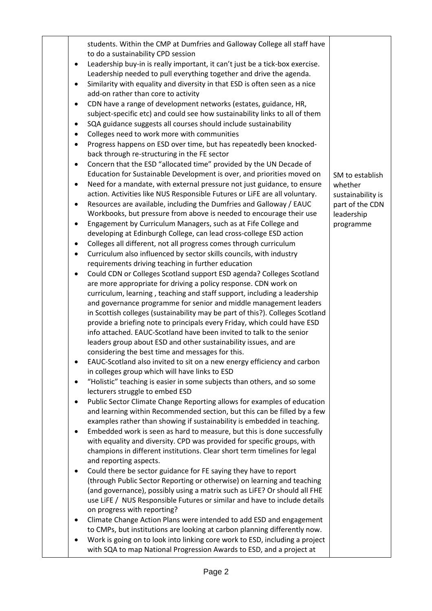|           | students. Within the CMP at Dumfries and Galloway College all staff have                                                                           |                   |
|-----------|----------------------------------------------------------------------------------------------------------------------------------------------------|-------------------|
|           | to do a sustainability CPD session                                                                                                                 |                   |
| $\bullet$ | Leadership buy-in is really important, it can't just be a tick-box exercise.                                                                       |                   |
|           | Leadership needed to pull everything together and drive the agenda.                                                                                |                   |
|           | Similarity with equality and diversity in that ESD is often seen as a nice<br>add-on rather than core to activity                                  |                   |
|           | CDN have a range of development networks (estates, guidance, HR,                                                                                   |                   |
|           | subject-specific etc) and could see how sustainability links to all of them                                                                        |                   |
|           | SQA guidance suggests all courses should include sustainability                                                                                    |                   |
|           | Colleges need to work more with communities                                                                                                        |                   |
|           | Progress happens on ESD over time, but has repeatedly been knocked-                                                                                |                   |
|           | back through re-structuring in the FE sector                                                                                                       |                   |
| $\bullet$ | Concern that the ESD "allocated time" provided by the UN Decade of                                                                                 |                   |
|           | Education for Sustainable Development is over, and priorities moved on                                                                             | SM to establish   |
|           | Need for a mandate, with external pressure not just guidance, to ensure                                                                            | whether           |
|           | action. Activities like NUS Responsible Futures or LiFE are all voluntary.                                                                         | sustainability is |
|           | Resources are available, including the Dumfries and Galloway / EAUC                                                                                | part of the CDN   |
|           | Workbooks, but pressure from above is needed to encourage their use                                                                                | leadership        |
|           | Engagement by Curriculum Managers, such as at Fife College and                                                                                     | programme         |
|           | developing at Edinburgh College, can lead cross-college ESD action                                                                                 |                   |
|           | Colleges all different, not all progress comes through curriculum                                                                                  |                   |
| $\bullet$ | Curriculum also influenced by sector skills councils, with industry                                                                                |                   |
|           | requirements driving teaching in further education                                                                                                 |                   |
|           | Could CDN or Colleges Scotland support ESD agenda? Colleges Scotland                                                                               |                   |
|           | are more appropriate for driving a policy response. CDN work on                                                                                    |                   |
|           | curriculum, learning, teaching and staff support, including a leadership                                                                           |                   |
|           | and governance programme for senior and middle management leaders                                                                                  |                   |
|           | in Scottish colleges (sustainability may be part of this?). Colleges Scotland                                                                      |                   |
|           | provide a briefing note to principals every Friday, which could have ESD                                                                           |                   |
|           | info attached. EAUC-Scotland have been invited to talk to the senior                                                                               |                   |
|           | leaders group about ESD and other sustainability issues, and are                                                                                   |                   |
|           | considering the best time and messages for this.                                                                                                   |                   |
|           | EAUC-Scotland also invited to sit on a new energy efficiency and carbon                                                                            |                   |
|           | in colleges group which will have links to ESD                                                                                                     |                   |
|           | "Holistic" teaching is easier in some subjects than others, and so some                                                                            |                   |
|           | lecturers struggle to embed ESD                                                                                                                    |                   |
|           | Public Sector Climate Change Reporting allows for examples of education                                                                            |                   |
|           | and learning within Recommended section, but this can be filled by a few                                                                           |                   |
|           | examples rather than showing if sustainability is embedded in teaching.<br>Embedded work is seen as hard to measure, but this is done successfully |                   |
|           | with equality and diversity. CPD was provided for specific groups, with                                                                            |                   |
|           | champions in different institutions. Clear short term timelines for legal                                                                          |                   |
|           | and reporting aspects.                                                                                                                             |                   |
| $\bullet$ | Could there be sector guidance for FE saying they have to report                                                                                   |                   |
|           | (through Public Sector Reporting or otherwise) on learning and teaching                                                                            |                   |
|           | (and governance), possibly using a matrix such as LiFE? Or should all FHE                                                                          |                   |
|           | use LiFE / NUS Responsible Futures or similar and have to include details                                                                          |                   |
|           | on progress with reporting?                                                                                                                        |                   |
|           | Climate Change Action Plans were intended to add ESD and engagement                                                                                |                   |
|           | to CMPs, but institutions are looking at carbon planning differently now.                                                                          |                   |
|           | Work is going on to look into linking core work to ESD, including a project                                                                        |                   |
|           | with SQA to map National Progression Awards to ESD, and a project at                                                                               |                   |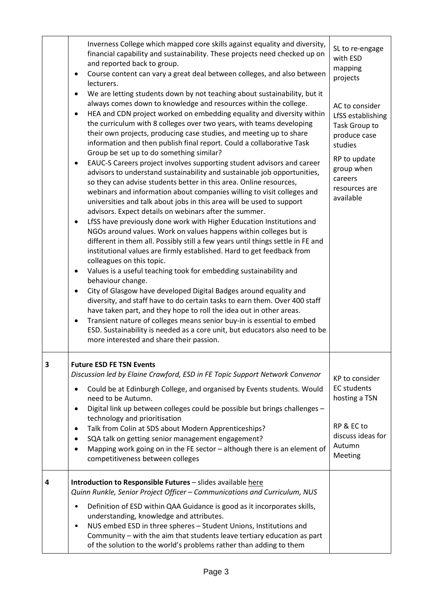|   | Inverness College which mapped core skills against equality and diversity,<br>financial capability and sustainability. These projects need checked up on<br>and reported back to group.<br>Course content can vary a great deal between colleges, and also between<br>٠<br>lecturers.<br>We are letting students down by not teaching about sustainability, but it<br>٠<br>always comes down to knowledge and resources within the college.<br>HEA and CDN project worked on embedding equality and diversity within<br>the curriculum with 8 colleges over two years, with teams developing<br>their own projects, producing case studies, and meeting up to share<br>information and then publish final report. Could a collaborative Task<br>Group be set up to do something similar?<br>EAUC-S Careers project involves supporting student advisors and career<br>٠<br>advisors to understand sustainability and sustainable job opportunities,<br>so they can advise students better in this area. Online resources,<br>webinars and information about companies willing to visit colleges and<br>universities and talk about jobs in this area will be used to support<br>advisors. Expect details on webinars after the summer.<br>LfSS have previously done work with Higher Education Institutions and<br>٠<br>NGOs around values. Work on values happens within colleges but is<br>different in them all. Possibly still a few years until things settle in FE and<br>institutional values are firmly established. Hard to get feedback from<br>colleagues on this topic.<br>Values is a useful teaching took for embedding sustainability and<br>$\bullet$<br>behaviour change.<br>City of Glasgow have developed Digital Badges around equality and<br>٠<br>diversity, and staff have to do certain tasks to earn them. Over 400 staff<br>have taken part, and they hope to roll the idea out in other areas.<br>Transient nature of colleges means senior buy-in is essential to embed<br>٠<br>ESD. Sustainability is needed as a core unit, but educators also need to be<br>more interested and share their passion. | SL to re-engage<br>with ESD<br>mapping<br>projects<br>AC to consider<br>LfSS establishing<br>Task Group to<br>produce case<br>studies<br>RP to update<br>group when<br>careers<br>resources are<br>available |
|---|-------------------------------------------------------------------------------------------------------------------------------------------------------------------------------------------------------------------------------------------------------------------------------------------------------------------------------------------------------------------------------------------------------------------------------------------------------------------------------------------------------------------------------------------------------------------------------------------------------------------------------------------------------------------------------------------------------------------------------------------------------------------------------------------------------------------------------------------------------------------------------------------------------------------------------------------------------------------------------------------------------------------------------------------------------------------------------------------------------------------------------------------------------------------------------------------------------------------------------------------------------------------------------------------------------------------------------------------------------------------------------------------------------------------------------------------------------------------------------------------------------------------------------------------------------------------------------------------------------------------------------------------------------------------------------------------------------------------------------------------------------------------------------------------------------------------------------------------------------------------------------------------------------------------------------------------------------------------------------------------------------------------------------------------------------------------------------------------------------------------------------------|--------------------------------------------------------------------------------------------------------------------------------------------------------------------------------------------------------------|
| 3 | <b>Future ESD FE TSN Events</b><br>Discussion led by Elaine Crawford, ESD in FE Topic Support Network Convenor<br>Could be at Edinburgh College, and organised by Events students. Would<br>need to be Autumn.<br>Digital link up between colleges could be possible but brings challenges -<br>٠<br>technology and prioritisation<br>Talk from Colin at SDS about Modern Apprenticeships?<br>٠<br>SQA talk on getting senior management engagement?<br>٠<br>Mapping work going on in the FE sector - although there is an element of<br>competitiveness between colleges                                                                                                                                                                                                                                                                                                                                                                                                                                                                                                                                                                                                                                                                                                                                                                                                                                                                                                                                                                                                                                                                                                                                                                                                                                                                                                                                                                                                                                                                                                                                                           | KP to consider<br><b>EC</b> students<br>hosting a TSN<br>RP & EC to<br>discuss ideas for<br>Autumn<br>Meeting                                                                                                |
| 4 | Introduction to Responsible Futures - slides available here<br>Quinn Runkle, Senior Project Officer - Communications and Curriculum, NUS<br>Definition of ESD within QAA Guidance is good as it incorporates skills,<br>٠<br>understanding, knowledge and attributes.<br>NUS embed ESD in three spheres - Student Unions, Institutions and<br>$\bullet$<br>Community - with the aim that students leave tertiary education as part<br>of the solution to the world's problems rather than adding to them                                                                                                                                                                                                                                                                                                                                                                                                                                                                                                                                                                                                                                                                                                                                                                                                                                                                                                                                                                                                                                                                                                                                                                                                                                                                                                                                                                                                                                                                                                                                                                                                                            |                                                                                                                                                                                                              |